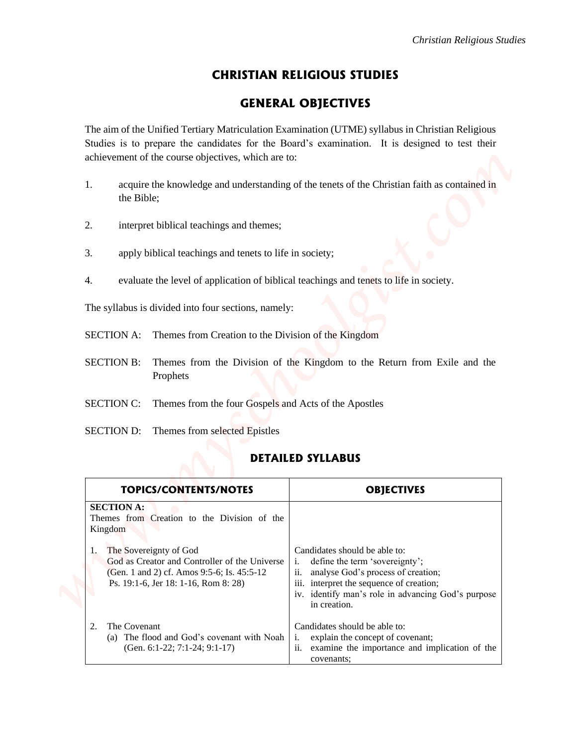## **CHRISTIAN RELIGIOUS STUDIES**

## **GENERAL OBJECTIVES**

- 1. acquire the knowledge and understanding of the tenets of the Christian faith as contained in the Bible;
- 2. interpret biblical teachings and themes;
- 3. apply biblical teachings and tenets to life in society;
- 4. evaluate the level of application of biblical teachings and tenets to life in society.

- SECTION A: Themes from Creation to the Division of the Kingdom
- SECTION B: Themes from the Division of the Kingdom to the Return from Exile and the Prophets
- SECTION C: Themes from the four Gospels and Acts of the Apostles
- SECTION D: Themes from selected Epistles

## **DETAILED SYLLABUS**

|                                                                                                                                                                     | Christian Religious Studies                                                                                                                                                                                                          |
|---------------------------------------------------------------------------------------------------------------------------------------------------------------------|--------------------------------------------------------------------------------------------------------------------------------------------------------------------------------------------------------------------------------------|
|                                                                                                                                                                     | <b>CHRISTIAN RELIGIOUS STUDIES</b>                                                                                                                                                                                                   |
|                                                                                                                                                                     | <b>GENERAL OBJECTIVES</b>                                                                                                                                                                                                            |
| achievement of the course objectives, which are to:                                                                                                                 | The aim of the Unified Tertiary Matriculation Examination (UTME) syllabus in Christian Religious<br>Studies is to prepare the candidates for the Board's examination. It is designed to test their                                   |
| 1.<br>the Bible;                                                                                                                                                    | acquire the knowledge and understanding of the tenets of the Christian faith as contained in                                                                                                                                         |
| 2.<br>interpret biblical teachings and themes;                                                                                                                      |                                                                                                                                                                                                                                      |
| apply biblical teachings and tenets to life in society;<br>3.                                                                                                       |                                                                                                                                                                                                                                      |
| evaluate the level of application of biblical teachings and tenets to life in society.<br>4.                                                                        |                                                                                                                                                                                                                                      |
| The syllabus is divided into four sections, namely:                                                                                                                 |                                                                                                                                                                                                                                      |
| Themes from Creation to the Division of the Kingdom<br><b>SECTION A:</b>                                                                                            |                                                                                                                                                                                                                                      |
| <b>SECTION B:</b><br>Prophets                                                                                                                                       | Themes from the Division of the Kingdom to the Return from Exile and the                                                                                                                                                             |
| Themes from the four Gospels and Acts of the Apostles<br><b>SECTION C:</b>                                                                                          |                                                                                                                                                                                                                                      |
| <b>SECTION D:</b><br>Themes from selected Epistles                                                                                                                  |                                                                                                                                                                                                                                      |
|                                                                                                                                                                     | <b>DETAILED SYLLABUS</b>                                                                                                                                                                                                             |
| <b>TOPICS/CONTENTS/NOTES</b>                                                                                                                                        | <b>OBJECTIVES</b>                                                                                                                                                                                                                    |
| <b>SECTION A:</b><br>Themes from Creation to the Division of the<br>Kingdom                                                                                         |                                                                                                                                                                                                                                      |
| The Sovereignty of God<br>1.<br>God as Creator and Controller of the Universe<br>(Gen. 1 and 2) cf. Amos 9:5-6; Is. 45:5-12<br>Ps. 19:1-6, Jer 18: 1-16, Rom 8: 28) | Candidates should be able to:<br>define the term 'sovereignty';<br>i.<br>analyse God's process of creation;<br>ii.<br>iii. interpret the sequence of creation;<br>iv. identify man's role in advancing God's purpose<br>in creation. |
| The Covenant<br>2.<br>(a) The flood and God's covenant with Noah<br>(Gen. 6:1-22; 7:1-24; 9:1-17)                                                                   | Candidates should be able to:<br>explain the concept of covenant;<br>i.<br>ii.<br>examine the importance and implication of the<br>covenants;                                                                                        |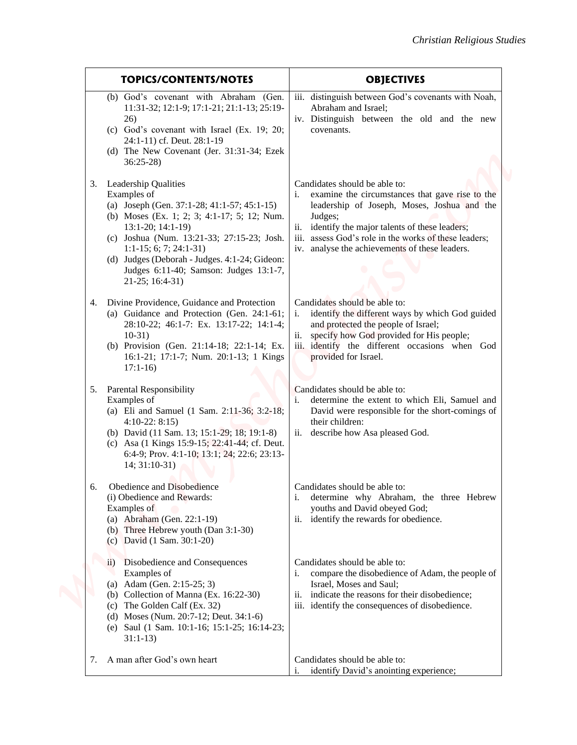|                                                                                                                                                                                                                                                                                                                                                    | Christian Religious Studies                                                                                                                                                                                                                                                                                  |
|----------------------------------------------------------------------------------------------------------------------------------------------------------------------------------------------------------------------------------------------------------------------------------------------------------------------------------------------------|--------------------------------------------------------------------------------------------------------------------------------------------------------------------------------------------------------------------------------------------------------------------------------------------------------------|
| <b>TOPICS/CONTENTS/NOTES</b>                                                                                                                                                                                                                                                                                                                       | <b>OBJECTIVES</b>                                                                                                                                                                                                                                                                                            |
| (b) God's covenant with Abraham (Gen.<br>11:31-32; 12:1-9; 17:1-21; 21:1-13; 25:19-<br>26)<br>(c) God's covenant with Israel (Ex. 19; 20;<br>24:1-11) cf. Deut. 28:1-19<br>(d) The New Covenant (Jer. 31:31-34; Ezek<br>$36:25-28$                                                                                                                 | iii. distinguish between God's covenants with Noah,<br>Abraham and Israel;<br>iv. Distinguish between the old and the new<br>covenants.                                                                                                                                                                      |
| 3. Leadership Qualities<br>Examples of<br>(a) Joseph (Gen. 37:1-28; 41:1-57; 45:1-15)<br>(b) Moses (Ex. 1; 2; 3; 4:1-17; 5; 12; Num.<br>$13:1-20; 14:1-19$<br>(c) Joshua (Num. 13:21-33; 27:15-23; Josh.<br>$1:1-15; 6; 7; 24:1-31)$<br>(d) Judges (Deborah - Judges. 4:1-24; Gideon:<br>Judges 6:11-40; Samson: Judges 13:1-7,<br>21-25; 16:4-31) | Candidates should be able to:<br>examine the circumstances that gave rise to the<br>leadership of Joseph, Moses, Joshua and the<br>Judges;<br>identify the major talents of these leaders;<br>ii.<br>iii. assess God's role in the works of these leaders;<br>iv. analyse the achievements of these leaders. |
| 4. Divine Providence, Guidance and Protection<br>(a) Guidance and Protection (Gen. 24:1-61;<br>28:10-22; 46:1-7: Ex. 13:17-22; 14:1-4;<br>$10-31)$<br>(b) Provision (Gen. 21:14-18; 22:1-14; Ex.<br>16:1-21; 17:1-7; Num. 20:1-13; 1 Kings<br>$17:1-16$                                                                                            | Candidates should be able to:<br>identify the different ways by which God guided<br>i.<br>and protected the people of Israel;<br>ii. specify how God provided for His people;<br>iii. identify the different occasions when God<br>provided for Israel.                                                      |
| <b>Parental Responsibility</b><br>5.<br>Examples of<br>(a) Eli and Samuel (1 Sam. 2:11-36; 3:2-18;<br>$4:10-22:8:15$<br>(b) David (11 Sam. 13; 15:1-29; 18; 19:1-8)<br>(c) Asa (1 Kings 15:9-15; 22:41-44; cf. Deut.<br>6:4-9; Prov. 4:1-10; 13:1; 24; 22:6; 23:13-<br>$14; 31:10-31)$                                                             | Candidates should be able to:<br>determine the extent to which Eli, Samuel and<br>David were responsible for the short-comings of<br>their children:<br>ii. describe how Asa pleased God.                                                                                                                    |
| Obedience and Disobedience<br>6.<br>(i) Obedience and Rewards:<br>Examples of<br>(a) Abraham (Gen. 22:1-19)<br>(b) Three Hebrew youth (Dan 3:1-30)<br>(c) David $(1 \text{ Sam. } 30:1-20)$                                                                                                                                                        | Candidates should be able to:<br>determine why Abraham, the three Hebrew<br>youths and David obeyed God;<br>identify the rewards for obedience.<br>11.                                                                                                                                                       |
| Disobedience and Consequences<br>11)<br>Examples of<br>(a) Adam (Gen. 2:15-25; 3)<br>(b) Collection of Manna (Ex. 16:22-30)<br>(c) The Golden Calf (Ex. 32)<br>(d) Moses (Num. 20:7-12; Deut. 34:1-6)<br>(e) Saul (1 Sam. 10:1-16; 15:1-25; 16:14-23;<br>$31:1-13$                                                                                 | Candidates should be able to:<br>compare the disobedience of Adam, the people of<br>i.<br>Israel, Moses and Saul;<br>indicate the reasons for their disobedience;<br>11.<br>identify the consequences of disobedience.<br><i>iii.</i>                                                                        |
| A man after God's own heart<br>7.                                                                                                                                                                                                                                                                                                                  | Candidates should be able to:<br>identify David's anointing experience;                                                                                                                                                                                                                                      |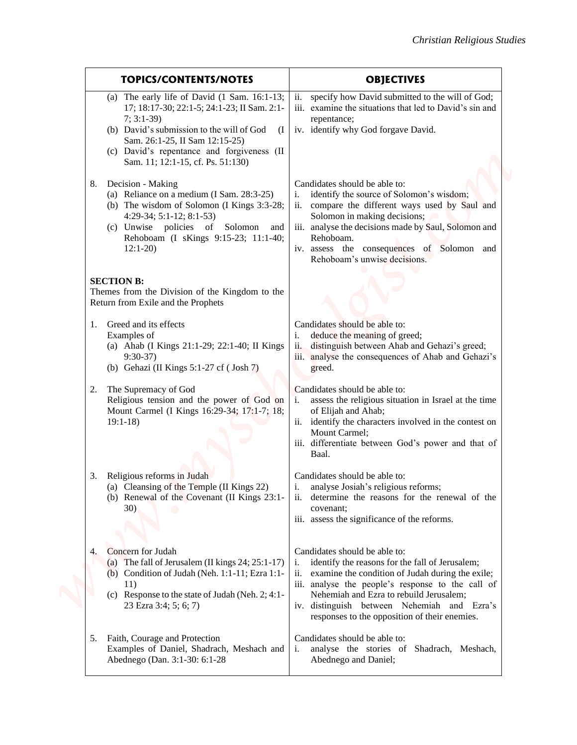| <b>TOPICS/CONTENTS/NOTES</b>                                                                                                                                                                                                                                                                     | <b>OBJECTIVES</b>                                                                                                                                                                                                                                                                                                                                 |
|--------------------------------------------------------------------------------------------------------------------------------------------------------------------------------------------------------------------------------------------------------------------------------------------------|---------------------------------------------------------------------------------------------------------------------------------------------------------------------------------------------------------------------------------------------------------------------------------------------------------------------------------------------------|
| (a) The early life of David $(1 \text{ Sam. } 16:1-13)$ ;<br>17; 18:17-30; 22:1-5; 24:1-23; II Sam. 2:1-<br>$7; 3:1-39$<br>(b) David's submission to the will of God<br>(1)<br>Sam. 26:1-25, II Sam 12:15-25)<br>(c) David's repentance and forgiveness (II<br>Sam. 11; 12:1-15, cf. Ps. 51:130) | specify how David submitted to the will of God;<br>ii.<br>iii. examine the situations that led to David's sin and<br>repentance;<br>iv. identify why God forgave David.                                                                                                                                                                           |
| Decision - Making<br>(a) Reliance on a medium (I Sam. 28:3-25)<br>(b) The wisdom of Solomon (I Kings 3:3-28;<br>$4:29-34; 5:1-12; 8:1-53$<br>(c) Unwise policies of Solomon<br>and<br>Rehoboam (I sKings 9:15-23; 11:1-40;<br>$12:1-20$                                                          | Candidates should be able to:<br>identify the source of Solomon's wisdom;<br>i.<br>compare the different ways used by Saul and<br>11.<br>Solomon in making decisions;<br>iii. analyse the decisions made by Saul, Solomon and<br>Rehoboam.<br>iv. assess the consequences of Solomon and<br>Rehoboam's unwise decisions.                          |
| <b>SECTION B:</b><br>Themes from the Division of the Kingdom to the<br>Return from Exile and the Prophets                                                                                                                                                                                        |                                                                                                                                                                                                                                                                                                                                                   |
| 1. Greed and its effects<br>Examples of<br>(a) Ahab (I Kings 21:1-29; 22:1-40; II Kings<br>$9:30-37$<br>(b) Gehazi (II Kings $5:1-27$ cf (Josh 7)                                                                                                                                                | Candidates should be able to:<br>deduce the meaning of greed;<br>distinguish between Ahab and Gehazi's greed;<br>$\overline{11}$ .<br>iii. analyse the consequences of Ahab and Gehazi's<br>greed.                                                                                                                                                |
| The Supremacy of God<br>2.<br>Religious tension and the power of God on<br>Mount Carmel (I Kings 16:29-34; 17:1-7; 18;<br>$19:1-18$                                                                                                                                                              | Candidates should be able to:<br>assess the religious situation in Israel at the time<br>of Elijah and Ahab;<br>ii. identify the characters involved in the contest on<br>Mount Carmel;<br>iii. differentiate between God's power and that of<br>Baal.                                                                                            |
| Religious reforms in Judah<br>3.<br>(a) Cleansing of the Temple (II Kings 22)<br>(b) Renewal of the Covenant (II Kings 23:1-<br><b>30</b> )                                                                                                                                                      | Candidates should be able to:<br>analyse Josiah's religious reforms;<br>determine the reasons for the renewal of the<br>covenant;<br>iii. assess the significance of the reforms.                                                                                                                                                                 |
| Concern for Judah<br>4.<br>(a) The fall of Jerusalem (II kings $24$ ; $25:1-17$ )<br>(b) Condition of Judah (Neh. 1:1-11; Ezra 1:1-<br>11)<br>(c) Response to the state of Judah (Neh. 2; 4:1-<br>23 Ezra 3:4; 5; 6; 7)                                                                          | Candidates should be able to:<br>identify the reasons for the fall of Jerusalem;<br>i.<br>examine the condition of Judah during the exile;<br>11.<br>iii. analyse the people's response to the call of<br>Nehemiah and Ezra to rebuild Jerusalem;<br>iv. distinguish between Nehemiah and Ezra's<br>responses to the opposition of their enemies. |
| 5. Faith, Courage and Protection<br>Examples of Daniel, Shadrach, Meshach and<br>Abednego (Dan. 3:1-30: 6:1-28                                                                                                                                                                                   | Candidates should be able to:<br>analyse the stories of Shadrach, Meshach,<br>i.<br>Abednego and Daniel;                                                                                                                                                                                                                                          |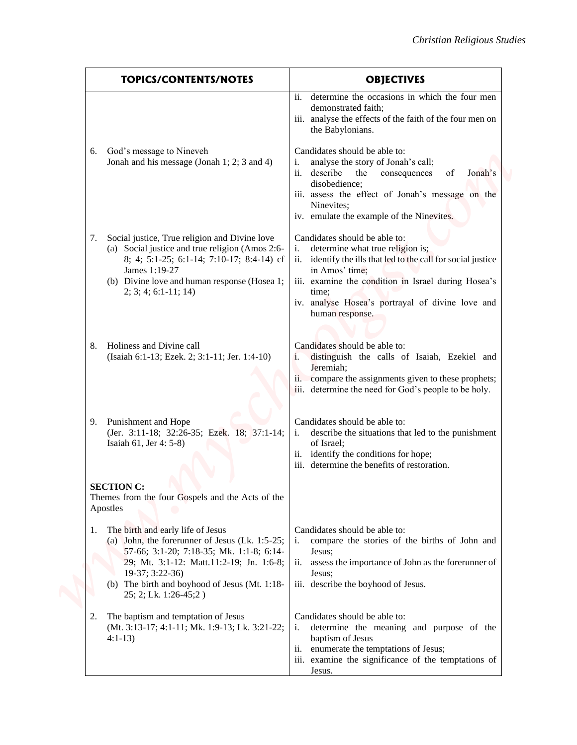|                                                                                                                                                                                                                                                                                    | Christian Religious Studies                                                                                                                                                                                                                                                                                      |
|------------------------------------------------------------------------------------------------------------------------------------------------------------------------------------------------------------------------------------------------------------------------------------|------------------------------------------------------------------------------------------------------------------------------------------------------------------------------------------------------------------------------------------------------------------------------------------------------------------|
| <b>TOPICS/CONTENTS/NOTES</b>                                                                                                                                                                                                                                                       | <b>OBJECTIVES</b>                                                                                                                                                                                                                                                                                                |
|                                                                                                                                                                                                                                                                                    | determine the occasions in which the four men<br>ii.<br>demonstrated faith;<br>iii. analyse the effects of the faith of the four men on<br>the Babylonians.                                                                                                                                                      |
| God's message to Nineveh<br>6.<br>Jonah and his message (Jonah 1; 2; 3 and 4)                                                                                                                                                                                                      | Candidates should be able to:<br>analyse the story of Jonah's call;<br>i.<br>describe<br>consequences<br>of<br>the<br>Jonah's<br>11.<br>disobedience;<br>iii. assess the effect of Jonah's message on the<br>Ninevites:<br>iv. emulate the example of the Ninevites.                                             |
| Social justice, True religion and Divine love<br>7.<br>(a) Social justice and true religion (Amos 2:6-<br>8; 4; 5:1-25; 6:1-14; 7:10-17; 8:4-14) cf<br>James 1:19-27<br>(b) Divine love and human response (Hosea 1;<br>$2; 3; 4; 6:1-11; 14)$                                     | Candidates should be able to:<br>determine what true religion is;<br>$\mathbf{1}$ .<br>identify the ills that led to the call for social justice<br>11.<br>in Amos' time;<br>iii. examine the condition in Israel during Hosea's<br>time:<br>iv. analyse Hosea's portrayal of divine love and<br>human response. |
| Holiness and Divine call<br>(Isaiah 6:1-13; Ezek. 2; 3:1-11; Jer. 1:4-10)                                                                                                                                                                                                          | Candidates should be able to:<br>distinguish the calls of Isaiah, Ezekiel and<br>Jeremiah;<br>ii. compare the assignments given to these prophets;<br>iii. determine the need for God's people to be holy.                                                                                                       |
| 9. Punishment and Hope<br>(Jer. 3:11-18; 32:26-35; Ezek. 18; 37:1-14;<br>Isaiah 61, Jer 4: 5-8)                                                                                                                                                                                    | Candidates should be able to:<br>describe the situations that led to the punishment<br>i.<br>of Israel;<br>ii. identify the conditions for hope;<br>iii. determine the benefits of restoration.                                                                                                                  |
| <b>SECTION C:</b><br>Themes from the four Gospels and the Acts of the<br>Apostles                                                                                                                                                                                                  |                                                                                                                                                                                                                                                                                                                  |
| The birth and early life of Jesus<br>1.<br>(a) John, the forerunner of Jesus (Lk. $1:5-25$ ;<br>57-66; 3:1-20; 7:18-35; Mk. 1:1-8; 6:14-<br>29; Mt. 3:1-12: Matt.11:2-19; Jn. 1:6-8;<br>19-37; 3:22-36)<br>(b) The birth and boyhood of Jesus (Mt. 1:18-<br>25; 2; Lk. 1:26-45; 2) | Candidates should be able to:<br>compare the stories of the births of John and<br>i.<br>Jesus;<br>ii. assess the importance of John as the forerunner of<br>Jesus:<br>iii. describe the boyhood of Jesus.                                                                                                        |
| The baptism and temptation of Jesus<br>2.<br>(Mt. 3:13-17; 4:1-11; Mk. 1:9-13; Lk. 3:21-22;<br>$4:1-13$                                                                                                                                                                            | Candidates should be able to:<br>determine the meaning and purpose of the<br>baptism of Jesus<br>ii. enumerate the temptations of Jesus;<br>iii. examine the significance of the temptations of<br>Jesus.                                                                                                        |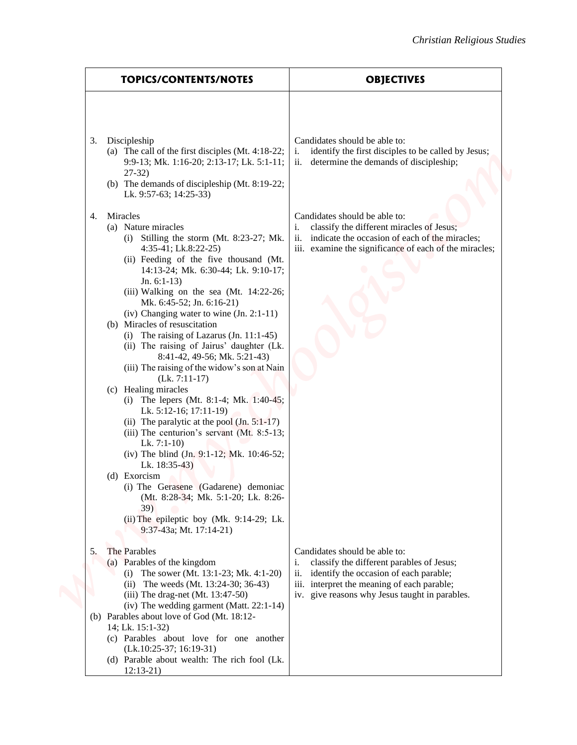| <b>TOPICS/CONTENTS/NOTES</b>                                                                                                                                                                                                                                                                                                                                                                                                                                                                                                                                                                                                                                                                                                                                                                                                                                                                                                                                                                                                   | <b>OBJECTIVES</b>                                                                                                                                                                                                                  |
|--------------------------------------------------------------------------------------------------------------------------------------------------------------------------------------------------------------------------------------------------------------------------------------------------------------------------------------------------------------------------------------------------------------------------------------------------------------------------------------------------------------------------------------------------------------------------------------------------------------------------------------------------------------------------------------------------------------------------------------------------------------------------------------------------------------------------------------------------------------------------------------------------------------------------------------------------------------------------------------------------------------------------------|------------------------------------------------------------------------------------------------------------------------------------------------------------------------------------------------------------------------------------|
|                                                                                                                                                                                                                                                                                                                                                                                                                                                                                                                                                                                                                                                                                                                                                                                                                                                                                                                                                                                                                                |                                                                                                                                                                                                                                    |
| Discipleship<br>3.<br>(a) The call of the first disciples (Mt. 4:18-22;<br>9:9-13; Mk. 1:16-20; 2:13-17; Lk. 5:1-11;<br>$27-32$<br>(b) The demands of discipleship (Mt. 8:19-22;<br>Lk. 9:57-63; 14:25-33)                                                                                                                                                                                                                                                                                                                                                                                                                                                                                                                                                                                                                                                                                                                                                                                                                     | Candidates should be able to:<br>i.<br>identify the first disciples to be called by Jesus;<br>ii.<br>determine the demands of discipleship;                                                                                        |
| Miracles<br>4.<br>(a) Nature miracles<br>(i) Stilling the storm (Mt. 8:23-27; Mk.<br>$4:35-41$ ; Lk.8:22-25)<br>(ii) Feeding of the five thousand (Mt.<br>14:13-24; Mk. 6:30-44; Lk. 9:10-17;<br>Jn. $6:1-13$<br>(iii) Walking on the sea (Mt. 14:22-26;<br>Mk. 6:45-52; Jn. 6:16-21)<br>(iv) Changing water to wine $(In. 2:1-11)$<br>(b) Miracles of resuscitation<br>(i) The raising of Lazarus $(In. 11:1-45)$<br>(ii) The raising of Jairus' daughter (Lk.<br>8:41-42, 49-56; Mk. 5:21-43)<br>(iii) The raising of the widow's son at Nain<br>$(Lk. 7:11-17)$<br>(c) Healing miracles<br>(i) The lepers (Mt. 8:1-4; Mk. 1:40-45;<br>Lk. 5:12-16; 17:11-19)<br>(ii) The paralytic at the pool $(In. 5:1-17)$<br>(iii) The centurion's servant $(Mt. 8:5-13)$ ;<br>Lk. $7:1-10$<br>(iv) The blind (Jn. 9:1-12; Mk. 10:46-52;<br>Lk. $18:35-43$<br>(d) Exorcism<br>(i) The Gerasene (Gadarene) demoniac<br>(Mt. 8:28-34; Mk. 5:1-20; Lk. 8:26-<br>39)<br>(ii) The epileptic boy (Mk. 9:14-29; Lk.<br>9:37-43a; Mt. 17:14-21) | Candidates should be able to:<br>classify the different miracles of Jesus;<br>i.<br>indicate the occasion of each of the miracles;<br>11.<br>iii. examine the significance of each of the miracles;                                |
| The Parables<br>5.<br>(a) Parables of the kingdom<br>(i) The sower (Mt. 13:1-23; Mk. 4:1-20)<br>(ii) The weeds (Mt. 13:24-30; 36-43)<br>$(iii)$ The drag-net (Mt. 13:47-50)<br>(iv) The wedding garment (Matt. 22:1-14)<br>(b) Parables about love of God (Mt. 18:12-<br>14; Lk. 15:1-32)<br>(c) Parables about love for one another<br>$(Lk.10:25-37; 16:19-31)$                                                                                                                                                                                                                                                                                                                                                                                                                                                                                                                                                                                                                                                              | Candidates should be able to:<br>classify the different parables of Jesus;<br>i.<br>identify the occasion of each parable;<br>11.<br>iii. interpret the meaning of each parable;<br>iv. give reasons why Jesus taught in parables. |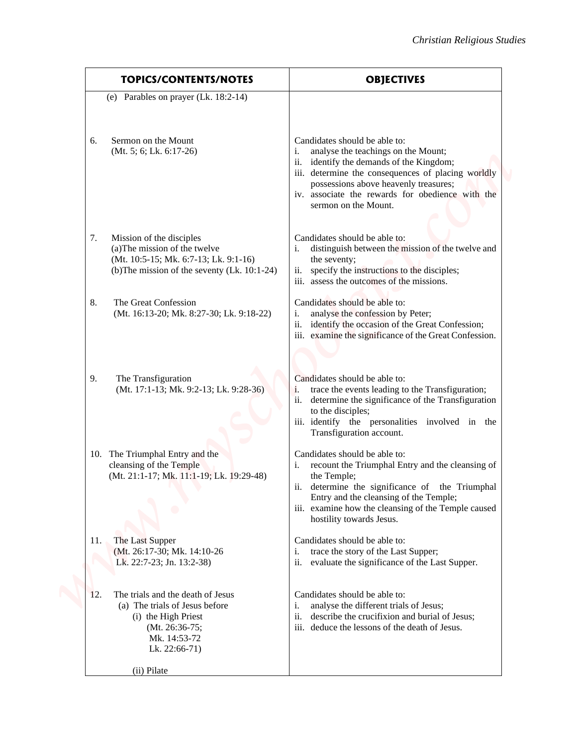| <b>TOPICS/CONTENTS/NOTES</b>                                                                                                                                | <b>OBJECTIVES</b>                                                                                                                                                                                                                                                                                    |
|-------------------------------------------------------------------------------------------------------------------------------------------------------------|------------------------------------------------------------------------------------------------------------------------------------------------------------------------------------------------------------------------------------------------------------------------------------------------------|
| (e) Parables on prayer (Lk. 18:2-14)                                                                                                                        |                                                                                                                                                                                                                                                                                                      |
| Sermon on the Mount<br>6.<br>$(Mt. 5; 6; Lk. 6:17-26)$                                                                                                      | Candidates should be able to:<br>analyse the teachings on the Mount;<br>i.<br>ii.<br>identify the demands of the Kingdom;<br>iii. determine the consequences of placing worldly<br>possessions above heavenly treasures;<br>iv. associate the rewards for obedience with the<br>sermon on the Mount. |
| Mission of the disciples<br>7.<br>(a) The mission of the twelve<br>(Mt. 10:5-15; Mk. 6:7-13; Lk. 9:1-16)<br>(b) The mission of the seventy (Lk. $10:1-24$ ) | Candidates should be able to:<br>distinguish between the mission of the twelve and<br>the seventy;<br>specify the instructions to the disciples;<br>ii.<br>iii. assess the outcomes of the missions.                                                                                                 |
| The Great Confession<br>8.<br>(Mt. 16:13-20; Mk. 8:27-30; Lk. 9:18-22)                                                                                      | Candidates should be able to:<br>analyse the confession by Peter;<br>i.<br>identify the occasion of the Great Confession;<br>11.<br>iii. examine the significance of the Great Confession.                                                                                                           |
| 9.<br>The Transfiguration<br>(Mt. 17:1-13; Mk. 9:2-13; Lk. 9:28-36)                                                                                         | Candidates should be able to:<br>i.<br>trace the events leading to the Transfiguration;<br>ii. determine the significance of the Transfiguration<br>to the disciples;<br>iii. identify the personalities involved in the<br>Transfiguration account.                                                 |
| 10. The Triumphal Entry and the<br>cleansing of the Temple<br>(Mt. 21:1-17; Mk. 11:1-19; Lk. 19:29-48)                                                      | Candidates should be able to:<br>recount the Triumphal Entry and the cleansing of<br>the Temple;<br>determine the significance of the Triumphal<br>Entry and the cleansing of the Temple;<br>iii. examine how the cleansing of the Temple caused<br>hostility towards Jesus.                         |
| The Last Supper<br>11.<br>(Mt. 26:17-30; Mk. 14:10-26<br>Lk. 22:7-23; Jn. 13:2-38)                                                                          | Candidates should be able to:<br>trace the story of the Last Supper;<br>i.<br>evaluate the significance of the Last Supper.<br>11.                                                                                                                                                                   |
| The trials and the death of Jesus<br>12.<br>(a) The trials of Jesus before<br>(i) the High Priest<br>(Mt. 26:36-75;<br>Mk. 14:53-72<br>Lk. 22:66-71)        | Candidates should be able to:<br>analyse the different trials of Jesus;<br>i.<br>describe the crucifixion and burial of Jesus;<br>11.<br>iii. deduce the lessons of the death of Jesus.                                                                                                              |
| (ii) Pilate                                                                                                                                                 |                                                                                                                                                                                                                                                                                                      |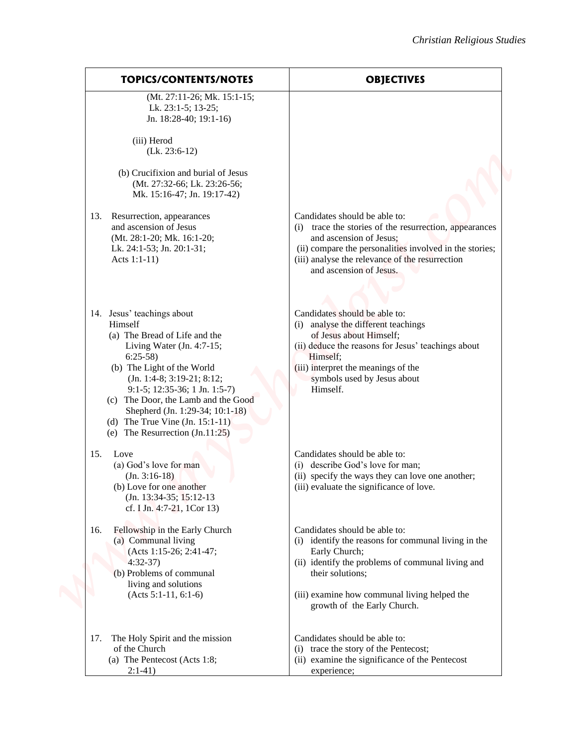| <b>OBJECTIVES</b>                                                                                                                                                                                                                                             | <b>TOPICS/CONTENTS/NOTES</b>                                                                                                                                                                                                                                                                                                                                             |
|---------------------------------------------------------------------------------------------------------------------------------------------------------------------------------------------------------------------------------------------------------------|--------------------------------------------------------------------------------------------------------------------------------------------------------------------------------------------------------------------------------------------------------------------------------------------------------------------------------------------------------------------------|
|                                                                                                                                                                                                                                                               | (Mt. 27:11-26; Mk. 15:1-15;<br>Lk. 23:1-5; 13-25;<br>Jn. 18:28-40; 19:1-16)                                                                                                                                                                                                                                                                                              |
|                                                                                                                                                                                                                                                               | (iii) Herod<br>$(Lk. 23:6-12)$                                                                                                                                                                                                                                                                                                                                           |
|                                                                                                                                                                                                                                                               | (b) Crucifixion and burial of Jesus<br>(Mt. 27:32-66; Lk. 23:26-56;<br>Mk. 15:16-47; Jn. 19:17-42)                                                                                                                                                                                                                                                                       |
| Candidates should be able to:<br>trace the stories of the resurrection, appearances<br>and ascension of Jesus;<br>(ii) compare the personalities involved in the stories;<br>(iii) analyse the relevance of the resurrection<br>and ascension of Jesus.       | 13. Resurrection, appearances<br>and ascension of Jesus<br>(Mt. 28:1-20; Mk. 16:1-20;<br>Lk. 24:1-53; Jn. 20:1-31;<br>Acts 1:1-11)                                                                                                                                                                                                                                       |
| Candidates should be able to:<br>(i) analyse the different teachings<br>of Jesus about Himself;<br>(ii) deduce the reasons for Jesus' teachings about<br>Himself;<br>(iii) interpret the meanings of the<br>symbols used by Jesus about<br>Himself.           | 14. Jesus' teachings about<br>Himself<br>(a) The Bread of Life and the<br>Living Water $(In. 4:7-15)$ ;<br>$6:25-58$<br>(b) The Light of the World<br>(Jn. 1:4-8; 3:19-21; 8:12;<br>$9:1-5$ ; 12:35-36; 1 Jn. 1:5-7)<br>(c) The Door, the Lamb and the Good<br>Shepherd (Jn. 1:29-34; 10:1-18)<br>(d) The True Vine $(In. 15:1-11)$<br>(e) The Resurrection $(In.11:25)$ |
| Candidates should be able to:<br>(i) describe God's love for man;<br>(ii) specify the ways they can love one another;<br>(iii) evaluate the significance of love.                                                                                             | Love<br>15.<br>(a) God's love for man<br>$(In. 3:16-18)$<br>(b) Love for one another<br>(Jn. 13:34-35; 15:12-13)<br>cf. I Jn. 4:7-21, 1Cor 13)                                                                                                                                                                                                                           |
| Candidates should be able to:<br>(i) identify the reasons for communal living in the<br>Early Church;<br>(ii) identify the problems of communal living and<br>their solutions;<br>(iii) examine how communal living helped the<br>growth of the Early Church. | Fellowship in the Early Church<br>16.<br>(a) Communal living<br>(Acts 1:15-26; 2:41-47;<br>$4:32-37$<br>(b) Problems of communal<br>living and solutions<br>$(Acts 5:1-11, 6:1-6)$                                                                                                                                                                                       |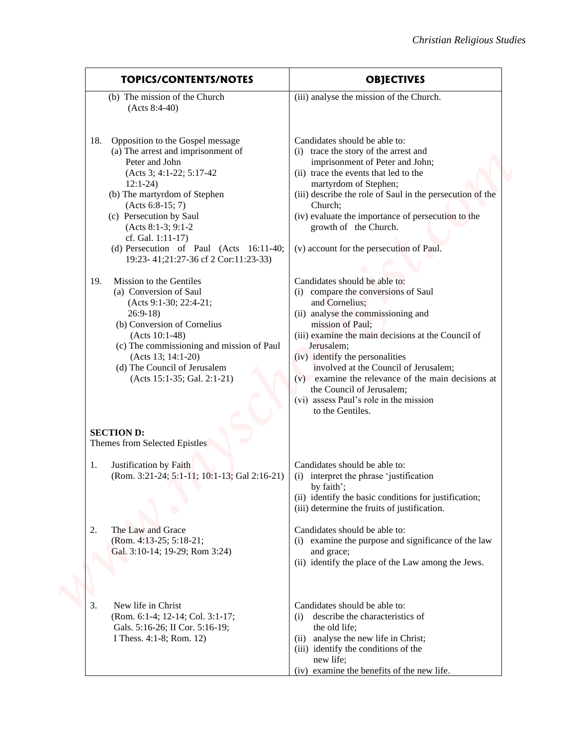| <b>TOPICS/CONTENTS/NOTES</b>                                                                                                                                                                                                                                                                                                                                                                                                                                                                                                                                                                                                                          | <b>OBJECTIVES</b>                                                                                                                                                                                                                                                                                                                                                                                                                                                                                                                                                                                                                                                                                                                                                                                                                      |
|-------------------------------------------------------------------------------------------------------------------------------------------------------------------------------------------------------------------------------------------------------------------------------------------------------------------------------------------------------------------------------------------------------------------------------------------------------------------------------------------------------------------------------------------------------------------------------------------------------------------------------------------------------|----------------------------------------------------------------------------------------------------------------------------------------------------------------------------------------------------------------------------------------------------------------------------------------------------------------------------------------------------------------------------------------------------------------------------------------------------------------------------------------------------------------------------------------------------------------------------------------------------------------------------------------------------------------------------------------------------------------------------------------------------------------------------------------------------------------------------------------|
| (b) The mission of the Church<br>$(Acts 8:4-40)$                                                                                                                                                                                                                                                                                                                                                                                                                                                                                                                                                                                                      | (iii) analyse the mission of the Church.                                                                                                                                                                                                                                                                                                                                                                                                                                                                                                                                                                                                                                                                                                                                                                                               |
| Opposition to the Gospel message<br>18.<br>(a) The arrest and imprisonment of<br>Peter and John<br>(Acts 3; 4:1-22; 5:17-42)<br>$12:1-24$<br>(b) The martyrdom of Stephen<br>$(Acts 6:8-15; 7)$<br>(c) Persecution by Saul<br>$(Acts 8:1-3; 9:1-2)$<br>cf. Gal. 1:11-17)<br>(d) Persecution of Paul (Acts 16:11-40;<br>19:23-41;21:27-36 cf 2 Cor:11:23-33)<br>Mission to the Gentiles<br>19.<br>(a) Conversion of Saul<br>(Acts 9:1-30; 22:4-21;<br>$26:9-18$<br>(b) Conversion of Cornelius<br>$(Acts 10:1-48)$<br>(c) The commissioning and mission of Paul<br>(Acts 13; 14:1-20)<br>(d) The Council of Jerusalem<br>$(Acts 15:1-35; Gal. 2:1-21)$ | Candidates should be able to:<br>(i) trace the story of the arrest and<br>imprisonment of Peter and John;<br>(ii) trace the events that led to the<br>martyrdom of Stephen;<br>(iii) describe the role of Saul in the persecution of the<br>Church;<br>(iv) evaluate the importance of persecution to the<br>growth of the Church.<br>(v) account for the persecution of Paul.<br>Candidates should be able to:<br>(i) compare the conversions of Saul<br>and Cornelius;<br>(ii) analyse the commissioning and<br>mission of Paul;<br>(iii) examine the main decisions at the Council of<br>Jerusalem;<br>(iv) identify the personalities<br>involved at the Council of Jerusalem;<br>examine the relevance of the main decisions at<br>(v)<br>the Council of Jerusalem;<br>(vi) assess Paul's role in the mission<br>to the Gentiles. |
| <b>SECTION D:</b><br>Themes from Selected Epistles                                                                                                                                                                                                                                                                                                                                                                                                                                                                                                                                                                                                    |                                                                                                                                                                                                                                                                                                                                                                                                                                                                                                                                                                                                                                                                                                                                                                                                                                        |
| Justification by Faith<br>1.<br>(Rom. 3:21-24; 5:1-11; 10:1-13; Gal 2:16-21)                                                                                                                                                                                                                                                                                                                                                                                                                                                                                                                                                                          | Candidates should be able to:<br>(i) interpret the phrase 'justification<br>by faith';<br>(ii) identify the basic conditions for justification;<br>(iii) determine the fruits of justification.                                                                                                                                                                                                                                                                                                                                                                                                                                                                                                                                                                                                                                        |
| The Law and Grace<br>2.<br>(Rom. 4:13-25; 5:18-21;<br>Gal. 3:10-14; 19-29; Rom 3:24)                                                                                                                                                                                                                                                                                                                                                                                                                                                                                                                                                                  | Candidates should be able to:<br>(i) examine the purpose and significance of the law<br>and grace;<br>(ii) identify the place of the Law among the Jews.                                                                                                                                                                                                                                                                                                                                                                                                                                                                                                                                                                                                                                                                               |
| New life in Christ<br>3.<br>(Rom. 6:1-4; 12-14; Col. 3:1-17;<br>Gals. 5:16-26; II Cor. 5:16-19;<br>I Thess. 4:1-8; Rom. 12)                                                                                                                                                                                                                                                                                                                                                                                                                                                                                                                           | Candidates should be able to:<br>describe the characteristics of<br>the old life;<br>(ii) analyse the new life in Christ;<br>(iii) identify the conditions of the<br>new life;<br>(iv) examine the benefits of the new life.                                                                                                                                                                                                                                                                                                                                                                                                                                                                                                                                                                                                           |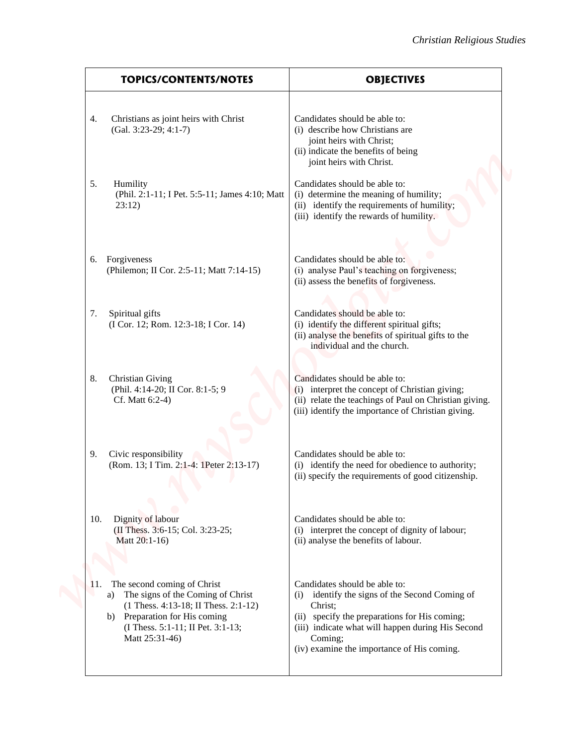| <b>TOPICS/CONTENTS/NOTES</b>                                                                                                                                                                                  | <b>OBJECTIVES</b>                                                                                                                                                                                                                                            |
|---------------------------------------------------------------------------------------------------------------------------------------------------------------------------------------------------------------|--------------------------------------------------------------------------------------------------------------------------------------------------------------------------------------------------------------------------------------------------------------|
| Christians as joint heirs with Christ<br>4.<br>$(Gal. 3:23-29; 4:1-7)$                                                                                                                                        | Candidates should be able to:<br>(i) describe how Christians are<br>joint heirs with Christ;<br>(ii) indicate the benefits of being<br>joint heirs with Christ.                                                                                              |
| 5.<br>Humility<br>(Phil. 2:1-11; I Pet. 5:5-11; James 4:10; Matt<br>23:12)                                                                                                                                    | Candidates should be able to:<br>(i) determine the meaning of humility;<br>(ii) identify the requirements of humility;<br>(iii) identify the rewards of humility.                                                                                            |
|                                                                                                                                                                                                               |                                                                                                                                                                                                                                                              |
| Forgiveness<br>6.<br>(Philemon; II Cor. 2:5-11; Matt 7:14-15)                                                                                                                                                 | Candidates should be able to:<br>(i) analyse Paul's teaching on forgiveness;<br>(ii) assess the benefits of forgiveness.                                                                                                                                     |
| 7.<br>Spiritual gifts<br>(I Cor. 12; Rom. 12:3-18; I Cor. 14)                                                                                                                                                 | Candidates should be able to:<br>(i) identify the different spiritual gifts;<br>(ii) analyse the benefits of spiritual gifts to the<br>individual and the church.                                                                                            |
| <b>Christian Giving</b><br>8.<br>(Phil. 4:14-20; II Cor. 8:1-5; 9<br>Cf. Matt 6:2-4)                                                                                                                          | Candidates should be able to:<br>(i) interpret the concept of Christian giving;<br>(ii) relate the teachings of Paul on Christian giving.<br>(iii) identify the importance of Christian giving.                                                              |
| Civic responsibility<br>9.<br>(Rom. 13; I Tim. 2:1-4: 1Peter 2:13-17)                                                                                                                                         | Candidates should be able to:<br>(i) identify the need for obedience to authority;<br>(ii) specify the requirements of good citizenship.                                                                                                                     |
| Dignity of labour<br>10.<br>(II Thess. 3:6-15; Col. 3:23-25;<br>Matt 20:1-16)                                                                                                                                 | Candidates should be able to:<br>(i) interpret the concept of dignity of labour;<br>(ii) analyse the benefits of labour.                                                                                                                                     |
| 11. The second coming of Christ<br>The signs of the Coming of Christ<br>a)<br>(1 Thess. 4:13-18; II Thess. 2:1-12)<br>Preparation for His coming<br>b)<br>(I Thess. 5:1-11; II Pet. 3:1-13;<br>Matt 25:31-46) | Candidates should be able to:<br>identify the signs of the Second Coming of<br>(i)<br>Christ;<br>(ii) specify the preparations for His coming;<br>(iii) indicate what will happen during His Second<br>Coming;<br>(iv) examine the importance of His coming. |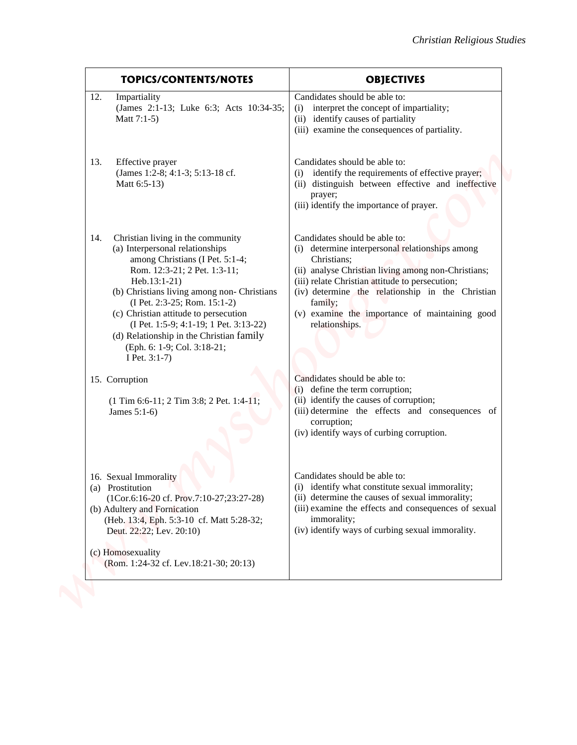| <b>TOPICS/CONTENTS/NOTES</b>                                                                                                                                                                                                                                                                                                                                                                                                    | <b>OBJECTIVES</b>                                                                                                                                                                                                                                                                                                                            |
|---------------------------------------------------------------------------------------------------------------------------------------------------------------------------------------------------------------------------------------------------------------------------------------------------------------------------------------------------------------------------------------------------------------------------------|----------------------------------------------------------------------------------------------------------------------------------------------------------------------------------------------------------------------------------------------------------------------------------------------------------------------------------------------|
| Impartiality<br>12.<br>(James 2:1-13; Luke 6:3; Acts 10:34-35;<br>Matt $7:1-5$ )                                                                                                                                                                                                                                                                                                                                                | Candidates should be able to:<br>interpret the concept of impartiality;<br>(i)<br>(ii) identify causes of partiality<br>(iii) examine the consequences of partiality.                                                                                                                                                                        |
| Effective prayer<br>13.<br>(James 1:2-8; 4:1-3; 5:13-18 cf.<br>Matt 6:5-13)                                                                                                                                                                                                                                                                                                                                                     | Candidates should be able to:<br>identify the requirements of effective prayer;<br>(i)<br>(ii) distinguish between effective and ineffective<br>prayer;<br>(iii) identify the importance of prayer.                                                                                                                                          |
| Christian living in the community<br>14.<br>(a) Interpersonal relationships<br>among Christians (I Pet. 5:1-4;<br>Rom. 12:3-21; 2 Pet. 1:3-11;<br>Heb.13:1-21)<br>(b) Christians living among non- Christians<br>(I Pet. 2:3-25; Rom. 15:1-2)<br>(c) Christian attitude to persecution<br>(I Pet. 1:5-9; 4:1-19; 1 Pet. 3:13-22)<br>(d) Relationship in the Christian family<br>(Eph. 6: 1-9; Col. 3:18-21;<br>I Pet. $3:1-7$ ) | Candidates should be able to:<br>(i) determine interpersonal relationships among<br>Christians;<br>(ii) analyse Christian living among non-Christians;<br>(iii) relate Christian attitude to persecution;<br>(iv) determine the relationship in the Christian<br>family;<br>(v) examine the importance of maintaining good<br>relationships. |
| 15. Corruption<br>$(1$ Tim 6:6-11; 2 Tim 3:8; 2 Pet. 1:4-11;<br>James 5:1-6)                                                                                                                                                                                                                                                                                                                                                    | Candidates should be able to:<br>(i) define the term corruption;<br>(ii) identify the causes of corruption;<br>(iii) determine the effects and consequences of<br>corruption;<br>(iv) identify ways of curbing corruption.                                                                                                                   |
| 16. Sexual Immorality<br>(a) Prostitution<br>(1Cor.6:16-20 cf. Prov.7:10-27;23:27-28)<br>(b) Adultery and Fornication<br>(Heb. 13:4, Eph. 5:3-10 cf. Matt 5:28-32;<br>Deut. 22:22; Lev. 20:10)                                                                                                                                                                                                                                  | Candidates should be able to:<br>(i) identify what constitute sexual immorality;<br>(ii) determine the causes of sexual immorality;<br>(iii) examine the effects and consequences of sexual<br>immorality;<br>(iv) identify ways of curbing sexual immorality.                                                                               |
| (c) Homosexuality<br>(Rom. 1:24-32 cf. Lev.18:21-30; 20:13)                                                                                                                                                                                                                                                                                                                                                                     |                                                                                                                                                                                                                                                                                                                                              |